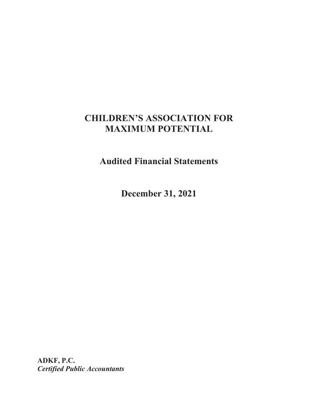# **CHILDREN'S ASSOCIATION FOR MAXIMUM POTENTIAL**

**Audited Financial Statements** 

**December 31, 2021** 

**ADKF, P.C.**  *Certified Public Accountants*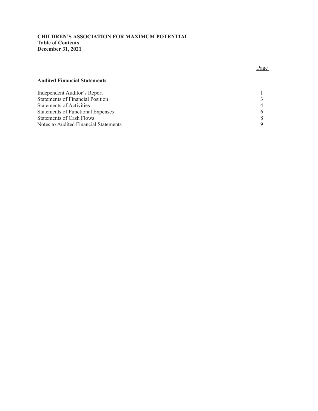### **CHILDREN'S ASSOCIATION FOR MAXIMUM POTENTIAL Table of Contents December 31, 2021**

## **Audited Financial Statements**

| Independent Auditor's Report             |                |
|------------------------------------------|----------------|
| Statements of Financial Position         |                |
| Statements of Activities                 | $\overline{4}$ |
| <b>Statements of Functional Expenses</b> | 6              |
| Statements of Cash Flows                 | 8              |
| Notes to Audited Financial Statements    |                |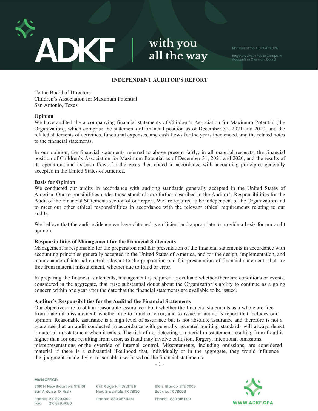

with you all the way

Member of the AICPA & TXCPA.

Registered with Public Company<br>Accounting Oversight Board.

### **INDEPENDENT AUDITOR'S REPORT**

To the Board of Directors Children's Association for Maximum Potential San Antonio, Texas

#### **Opinion**

We have audited the accompanying financial statements of Children's Association for Maximum Potential (the Organization), which comprise the statements of financial position as of December 31, 2021 and 2020, and the related statements of activities, functional expenses, and cash flows for the years then ended, and the related notes to the financial statements.

In our opinion, the financial statements referred to above present fairly, in all material respects, the financial position of Children's Association for Maximum Potential as of December 31, 2021 and 2020, and the results of its operations and its cash flows for the years then ended in accordance with accounting principles generally accepted in the United States of America.

#### **Basis for Opinion**

We conducted our audits in accordance with auditing standards generally accepted in the United States of America. Our responsibilities under those standards are further described in the Auditor's Responsibilities for the Audit of the Financial Statements section of our report. We are required to be independent of the Organization and to meet our other ethical responsibilities in accordance with the relevant ethical requirements relating to our audits.

We believe that the audit evidence we have obtained is sufficient and appropriate to provide a basis for our audit opinion.

#### **Responsibilities of Management for the Financial Statements**

Management is responsible for the preparation and fair presentation of the financial statements in accordance with accounting principles generally accepted in the United States of America, and for the design, implementation, and maintenance of internal control relevant to the preparation and fair presentation of financial statements that are free from material misstatement, whether due to fraud or error.

In preparing the financial statements, management is required to evaluate whether there are conditions or events, considered in the aggregate, that raise substantial doubt about the Organization's ability to continue as a going concern within one year after the date that the financial statements are available to be issued.

#### **Auditor's Responsibilities for the Audit of the Financial Statements**

Our objectives are to obtain reasonable assurance about whether the financial statements as a whole are free from material misstatement, whether due to fraud or error, and to issue an auditor's report that includes our opinion. Reasonable assurance is a high level of assurance but is not absolute assurance and therefore is not a guarantee that an audit conducted in accordance with generally accepted auditing standards will always detect a material misstatement when it exists. The risk of not detecting a material misstatement resulting from fraud is higher than for one resulting from error, as fraud may involve collusion, forgery, intentional omissions, misrepresentations, or the override of internal control. Misstatements, including omissions, are considered material if there is a substantial likelihood that, individually or in the aggregate, they would influence the judgment made by a reasonable user based on the financial statements.

- 1 -

#### **MAIN OFFICE:**

8610 N. New Braunfels, STE 101 San Antonio, TX 78217

Phone: 210.829.1300 Fax: 210.829.4080

672 Ridge Hill Dr., STE B New Braunfels, TX 78130 Phone: 830.387.4441

616 E. Blanco, STE 300e Boerne, TX 78006 Phone: 830.815.1100

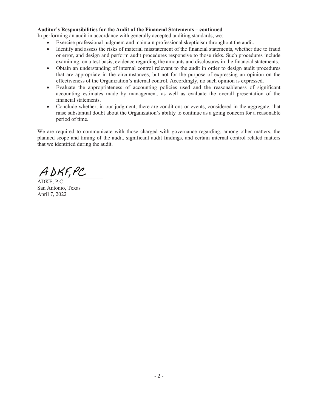#### **Auditor's Responsibilities for the Audit of the Financial Statements – continued**

In performing an audit in accordance with generally accepted auditing standards, we:

- x Exercise professional judgment and maintain professional skepticism throughout the audit.
- Identify and assess the risks of material misstatement of the financial statements, whether due to fraud or error, and design and perform audit procedures responsive to those risks. Such procedures include examining, on a test basis, evidence regarding the amounts and disclosures in the financial statements.
- Obtain an understanding of internal control relevant to the audit in order to design audit procedures that are appropriate in the circumstances, but not for the purpose of expressing an opinion on the effectiveness of the Organization's internal control. Accordingly, no such opinion is expressed.
- Evaluate the appropriateness of accounting policies used and the reasonableness of significant accounting estimates made by management, as well as evaluate the overall presentation of the financial statements.
- Conclude whether, in our judgment, there are conditions or events, considered in the aggregate, that raise substantial doubt about the Organization's ability to continue as a going concern for a reasonable period of time.

We are required to communicate with those charged with governance regarding, among other matters, the planned scope and timing of the audit, significant audit findings, and certain internal control related matters that we identified during the audit.

 $ADKF, PC$ 

ADKF, P.C. San Antonio, Texas April 7, 2022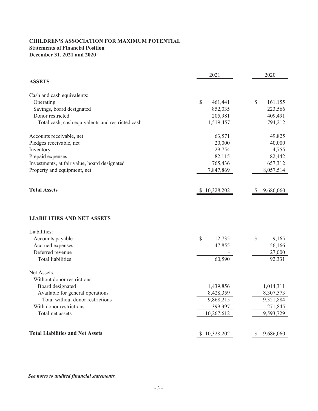## **CHILDREN'S ASSOCIATION FOR MAXIMUM POTENTIAL Statements of Financial Position December 31, 2021 and 2020**

|                                                  | 2021          | 2020            |
|--------------------------------------------------|---------------|-----------------|
| <b>ASSETS</b>                                    |               |                 |
| Cash and cash equivalents:                       |               |                 |
| Operating                                        | \$<br>461,441 | \$<br>161,155   |
| Savings, board designated                        | 852,035       | 223,566         |
| Donor restricted                                 | 205,981       | 409,491         |
| Total cash, cash equivalents and restricted cash | 1,519,457     | 794,212         |
| Accounts receivable, net                         | 63,571        | 49,825          |
| Pledges receivable, net                          | 20,000        | 40,000          |
| Inventory                                        | 29,754        | 4,755           |
| Prepaid expenses                                 | 82,115        | 82,442          |
| Investments, at fair value, board designated     | 765,436       | 657,312         |
| Property and equipment, net                      | 7,847,869     | 8,057,514       |
|                                                  |               |                 |
| <b>Total Assets</b>                              | \$10,328,202  | 9,686,060<br>Z. |
| <b>LIABILITIES AND NET ASSETS</b>                |               |                 |
|                                                  |               |                 |
| Liabilities:                                     |               |                 |
| Accounts payable                                 | \$<br>12,735  | \$<br>9,165     |
| Accrued expenses                                 | 47,855        | 56,166          |
| Deferred revenue                                 |               | 27,000          |
| <b>Total liabilities</b>                         | 60,590        | 92,331          |
| Net Assets:                                      |               |                 |
| Without donor restrictions:                      |               |                 |
| Board designated                                 | 1,439,856     | 1,014,311       |
| Available for general operations                 | 8,428,359     | 8,307,573       |
| Total without donor restrictions                 | 9,868,215     | 9,321,884       |
| With donor restrictions                          | 399,397       | 271,845         |
| Total net assets                                 | 10,267,612    | 9,593,729       |
|                                                  |               |                 |
| <b>Total Liabilities and Net Assets</b>          | \$10,328,202  | 9,686,060<br>S  |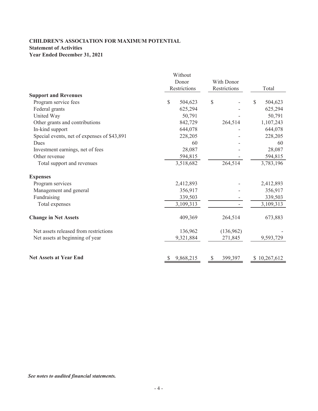## **CHILDREN'S ASSOCIATION FOR MAXIMUM POTENTIAL Statement of Activities Year Ended December 31, 2021**

|                                             | Without       |              |                          |
|---------------------------------------------|---------------|--------------|--------------------------|
|                                             | Donor         | With Donor   |                          |
|                                             | Restrictions  | Restrictions | Total                    |
| <b>Support and Revenues</b>                 |               |              |                          |
| Program service fees                        | \$<br>504,623 | \$           | $\mathcal{S}$<br>504,623 |
| Federal grants                              | 625,294       |              | 625,294                  |
| United Way                                  | 50,791        |              | 50,791                   |
| Other grants and contributions              | 842,729       | 264,514      | 1,107,243                |
| In-kind support                             | 644,078       |              | 644,078                  |
| Special events, net of expenses of \$43,891 | 228,205       |              | 228,205                  |
| Dues                                        | 60            |              | 60                       |
| Investment earnings, net of fees            | 28,087        |              | 28,087                   |
| Other revenue                               | 594,815       |              | 594,815                  |
| Total support and revenues                  | 3,518,682     | 264,514      | 3,783,196                |
| <b>Expenses</b>                             |               |              |                          |
| Program services                            | 2,412,893     |              | 2,412,893                |
| Management and general                      | 356,917       |              | 356,917                  |
| Fundraising                                 | 339,503       |              | 339,503                  |
| Total expenses                              | 3,109,313     |              | 3,109,313                |
| <b>Change in Net Assets</b>                 | 409,369       | 264,514      | 673,883                  |
| Net assets released from restrictions       | 136,962       | (136,962)    |                          |
| Net assets at beginning of year             | 9,321,884     | 271,845      | 9,593,729                |
| <b>Net Assets at Year End</b>               | 9,868,215     |              |                          |
|                                             |               | 399,397<br>S | \$10,267,612             |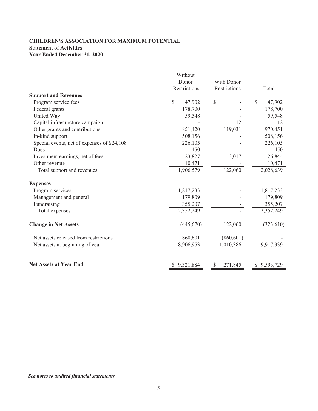## **CHILDREN'S ASSOCIATION FOR MAXIMUM POTENTIAL Statement of Activities Year Ended December 31, 2020**

|                                             | Without<br>Donor<br>Restrictions | With Donor<br>Restrictions | Total        |  |
|---------------------------------------------|----------------------------------|----------------------------|--------------|--|
| <b>Support and Revenues</b>                 |                                  |                            |              |  |
| Program service fees                        | $\mathbb{S}$<br>47,902           | \$                         | \$<br>47,902 |  |
| Federal grants                              | 178,700                          |                            | 178,700      |  |
| United Way                                  | 59,548                           |                            | 59,548       |  |
| Capital infrastructure campaign             |                                  | 12                         | 12           |  |
| Other grants and contributions              | 851,420                          | 119,031                    | 970,451      |  |
| In-kind support                             | 508,156                          |                            | 508,156      |  |
| Special events, net of expenses of \$24,108 | 226,105                          |                            | 226,105      |  |
| Dues                                        | 450                              |                            | 450          |  |
| Investment earnings, net of fees            | 23,827                           | 3,017                      | 26,844       |  |
| Other revenue                               | 10,471                           |                            | 10,471       |  |
| Total support and revenues                  | 1,906,579                        | 122,060                    | 2,028,639    |  |
| <b>Expenses</b>                             |                                  |                            |              |  |
| Program services                            | 1,817,233                        |                            | 1,817,233    |  |
| Management and general                      | 179,809                          |                            | 179,809      |  |
| Fundraising                                 | 355,207                          |                            | 355,207      |  |
| Total expenses                              | 2,352,249                        |                            | 2,352,249    |  |
| <b>Change in Net Assets</b>                 | (445, 670)                       | 122,060                    | (323, 610)   |  |
| Net assets released from restrictions       | 860,601                          | (860, 601)                 |              |  |
| Net assets at beginning of year             | 8,906,953                        | 1,010,386                  | 9,917,339    |  |
| <b>Net Assets at Year End</b>               | \$9,321,884                      | 271,845<br>\$              | \$9,593,729  |  |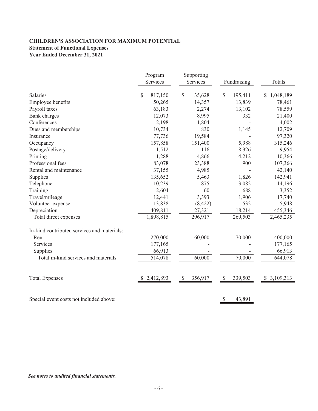## **CHILDREN'S ASSOCIATION FOR MAXIMUM POTENTIAL Statement of Functional Expenses Year Ended December 31, 2021**

|                                             | Program       | Supporting               |                         |                 |
|---------------------------------------------|---------------|--------------------------|-------------------------|-----------------|
|                                             | Services      | Services                 | Fundraising             | Totals          |
|                                             |               |                          |                         |                 |
| <b>Salaries</b>                             | \$<br>817,150 | \$<br>35,628             | \$<br>195,411           | 1,048,189<br>\$ |
| Employee benefits                           | 50,265        | 14,357                   | 13,839                  | 78,461          |
| Payroll taxes                               | 63,183        | 2,274                    | 13,102                  | 78,559          |
| <b>Bank</b> charges                         | 12,073        | 8,995                    | 332                     | 21,400          |
| Conferences                                 | 2,198         | 1,804                    |                         | 4,002           |
| Dues and memberships                        | 10,734        | 830                      | 1,145                   | 12,709          |
| Insurance                                   | 77,736        | 19,584                   |                         | 97,320          |
| Occupancy                                   | 157,858       | 151,400                  | 5,988                   | 315,246         |
| Postage/delivery                            | 1,512         | 116                      | 8,326                   | 9,954           |
| Printing                                    | 1,288         | 4,866                    | 4,212                   | 10,366          |
| Professional fees                           | 83,078        | 23,388                   | 900                     | 107,366         |
| Rental and maintenance                      | 37,155        | 4,985                    |                         | 42,140          |
| Supplies                                    | 135,652       | 5,463                    | 1,826                   | 142,941         |
| Telephone                                   | 10,239        | 875                      | 3,082                   | 14,196          |
| Training                                    | 2,604         | 60                       | 688                     | 3,352           |
| Travel/mileage                              | 12,441        | 3,393                    | 1,906                   | 17,740          |
| Volunteer expense                           | 13,838        | (8, 422)                 | 532                     | 5,948           |
| Depreciation                                | 409,811       | 27,321                   | 18,214                  | 455,346         |
| Total direct expenses                       | 1,898,815     | 296,917                  | 269,503                 | 2,465,235       |
| In-kind contributed services and materials: |               |                          |                         |                 |
| Rent                                        | 270,000       | 60,000                   | 70,000                  | 400,000         |
| Services                                    | 177,165       |                          |                         | 177,165         |
| Supplies                                    | 66,913        |                          |                         | 66,913          |
| Total in-kind services and materials        | 514,078       | 60,000                   | 70,000                  | 644,078         |
| <b>Total Expenses</b>                       | 2,412,893     | 356,917<br><sup>\$</sup> | 339,503<br>$\mathbb{S}$ | \$3,109,313     |
| Special event costs not included above:     |               |                          | 43,891<br>\$            |                 |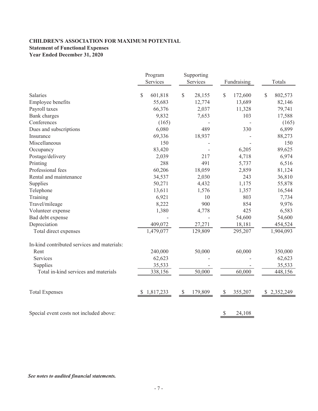## **CHILDREN'S ASSOCIATION FOR MAXIMUM POTENTIAL Statement of Functional Expenses Year Ended December 31, 2020**

|                                             | Program       | Supporting               |                          |                          |
|---------------------------------------------|---------------|--------------------------|--------------------------|--------------------------|
|                                             | Services      | Services                 | Fundraising              | Totals                   |
| Salaries                                    | \$<br>601,818 | \$<br>28,155             | \$<br>172,600            | $\mathcal{S}$<br>802,573 |
| Employee benefits                           | 55,683        | 12,774                   | 13,689                   | 82,146                   |
| Payroll taxes                               | 66,376        | 2,037                    | 11,328                   | 79,741                   |
| <b>Bank</b> charges                         | 9,832         | 7,653                    | 103                      | 17,588                   |
| Conferences                                 | (165)         |                          |                          | (165)                    |
| Dues and subscriptions                      | 6,080         | 489                      | 330                      | 6,899                    |
| Insurance                                   | 69,336        | 18,937                   |                          | 88,273                   |
| Miscellaneous                               | 150           |                          |                          | 150                      |
| Occupancy                                   | 83,420        |                          | 6,205                    | 89,625                   |
| Postage/delivery                            | 2,039         | 217                      | 4,718                    | 6,974                    |
| Printing                                    | 288           | 491                      | 5,737                    | 6,516                    |
| Professional fees                           | 60,206        | 18,059                   | 2,859                    | 81,124                   |
| Rental and maintenance                      | 34,537        | 2,030                    | 243                      | 36,810                   |
| Supplies                                    | 50,271        | 4,432                    | 1,175                    | 55,878                   |
| Telephone                                   | 13,611        | 1,576                    | 1,357                    | 16,544                   |
| Training                                    | 6,921         | 10                       | 803                      | 7,734                    |
| Travel/mileage                              | 8,222         | 900                      | 854                      | 9,976                    |
| Volunteer expense                           | 1,380         | 4,778                    | 425                      | 6,583                    |
| Bad debt expense                            |               |                          | 54,600                   | 54,600                   |
| Depreciation                                | 409,072       | 27,271                   | 18,181                   | 454,524                  |
| Total direct expenses                       | 1,479,077     | 129,809                  | 295,207                  | 1,904,093                |
| In-kind contributed services and materials: |               |                          |                          |                          |
| Rent                                        | 240,000       | 50,000                   | 60,000                   | 350,000                  |
| Services                                    | 62,623        |                          |                          | 62,623                   |
| Supplies                                    | 35,533        |                          |                          | 35,533                   |
| Total in-kind services and materials        | 338,156       | 50,000                   | 60,000                   | 448,156                  |
| <b>Total Expenses</b>                       | 1,817,233     | $\mathcal{S}$<br>179,809 | $\mathcal{S}$<br>355,207 | 2,352,249<br>S.          |
| Special event costs not included above:     |               |                          | $\mathcal{S}$<br>24,108  |                          |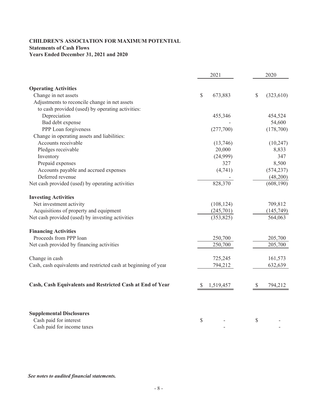## **CHILDREN'S ASSOCIATION FOR MAXIMUM POTENTIAL Statements of Cash Flows Years Ended December 31, 2021 and 2020**

|                                                                 |    | 2021       |    | 2020       |
|-----------------------------------------------------------------|----|------------|----|------------|
| <b>Operating Activities</b>                                     |    |            |    |            |
| Change in net assets                                            | \$ | 673,883    | \$ | (323, 610) |
| Adjustments to reconcile change in net assets                   |    |            |    |            |
| to cash provided (used) by operating activities:                |    |            |    |            |
| Depreciation                                                    |    | 455,346    |    | 454,524    |
| Bad debt expense                                                |    |            |    | 54,600     |
| PPP Loan forgiveness                                            |    | (277,700)  |    | (178,700)  |
| Change in operating assets and liabilities:                     |    |            |    |            |
| Accounts receivable                                             |    | (13,746)   |    | (10, 247)  |
| Pledges receivable                                              |    | 20,000     |    | 8,833      |
| Inventory                                                       |    | (24,999)   |    | 347        |
|                                                                 |    | 327        |    | 8,500      |
| Prepaid expenses                                                |    |            |    |            |
| Accounts payable and accrued expenses                           |    | (4,741)    |    | (574, 237) |
| Deferred revenue                                                |    |            |    | (48,200)   |
| Net cash provided (used) by operating activities                |    | 828,370    |    | (608, 190) |
| <b>Investing Activities</b>                                     |    |            |    |            |
| Net investment activity                                         |    | (108, 124) |    | 709,812    |
| Acquisitions of property and equipment                          |    | (245,701)  |    | (145, 749) |
| Net cash provided (used) by investing activities                |    | (353, 825) |    | 564,063    |
| <b>Financing Activities</b>                                     |    |            |    |            |
| Proceeds from PPP loan                                          |    | 250,700    |    | 205,700    |
| Net cash provided by financing activities                       |    | 250,700    |    | 205,700    |
|                                                                 |    |            |    |            |
| Change in cash                                                  |    | 725,245    |    | 161,573    |
| Cash, cash equivalents and restricted cash at beginning of year |    | 794,212    |    | 632,639    |
| Cash, Cash Equivalents and Restricted Cash at End of Year       |    | 1,519,457  | S  | 794,212    |
|                                                                 | S  |            |    |            |
| <b>Supplemental Disclosures</b>                                 |    |            |    |            |
| Cash paid for interest                                          | \$ |            | \$ |            |
| Cash paid for income taxes                                      |    |            |    |            |
|                                                                 |    |            |    |            |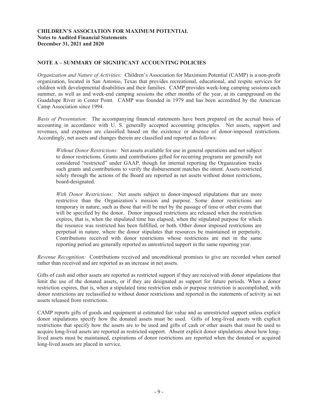#### **CHILDREN'S ASSOCIATION FOR MAXIMUM POTENTIAL Notes to Audited Financial Statements December 31, 2021 and 2020**

#### **NOTE A – SUMMARY OF SIGNIFICANT ACCOUNTING POLICIES**

*Organization and Nature of Activities:* Children's Association for Maximum Potential (CAMP) is a non-profit organization, located in San Antonio, Texas that provides recreational, educational, and respite services for children with developmental disabilities and their families. CAMP provides week-long camping sessions each summer, as well as and week-end camping sessions the other months of the year, at its campground on the Guadalupe River in Center Point. CAMP was founded in 1979 and has been accredited by the American Camp Association since 1994.

*Basis of Presentation:* The accompanying financial statements have been prepared on the accrual basis of accounting in accordance with U. S. generally accepted accounting principles. Net assets, support and revenues, and expenses are classified based on the existence or absence of donor-imposed restrictions. Accordingly, net assets and changes therein are classified and reported as follows:

*Without Donor Restrictions:* Net assets available for use in general operations and not subject to donor restrictions. Grants and contributions gifted for recurring programs are generally not considered "restricted" under GAAP, though for internal reporting the Organization tracks such grants and contributions to verify the disbursement matches the intent. Assets restricted solely through the actions of the Board are reported as net assets without donor restrictions, board-designated.

*With Donor Restrictions:* Net assets subject to donor-imposed stipulations that are more restrictive than the Organization's mission and purpose. Some donor restrictions are temporary in nature, such as those that will be met by the passage of time or other events that will be specified by the donor. Donor imposed restrictions are released when the restriction expires, that is, when the stipulated time has elapsed, when the stipulated purpose for which the resource was restricted has been fulfilled, or both. Other donor imposed restrictions are perpetual in nature, where the donor stipulates that resources be maintained in perpetuity. Contributions received with donor restrictions whose restrictions are met in the same reporting period are generally reported as unrestricted support in the same reporting year.

*Revenue Recognition:* Contributions received and unconditional promises to give are recorded when earned rather than received and are reported as an increase in net assets.

Gifts of cash and other assets are reported as restricted support if they are received with donor stipulations that limit the use of the donated assets, or if they are designated as support for future periods. When a donor restriction expires, that is, when a stipulated time restriction ends or purpose restriction is accomplished, with donor restrictions are reclassified to without donor restrictions and reported in the statements of activity as net assets released from restrictions.

CAMP reports gifts of goods and equipment at estimated fair value and as unrestricted support unless explicit donor stipulations specify how the donated assets must be used. Gifts of long-lived assets with explicit restrictions that specify how the assets are to be used and gifts of cash or other assets that must be used to acquire long-lived assets are reported as restricted support. Absent explicit donor stipulations about how longlived assets must be maintained, expirations of donor restrictions are reported when the donated or acquired long-lived assets are placed in service.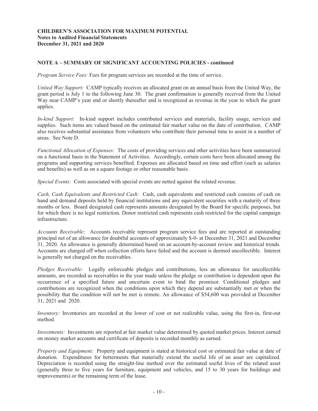#### **NOTE A – SUMMARY OF SIGNIFICANT ACCOUNTING POLICIES - continued**

*Program Service Fees:* Fees for program services are recorded at the time of service.

*United Way Support:* CAMP typically receives an allocated grant on an annual basis from the United Way, the grant period is July 1 to the following June 30. The grant confirmation is generally received from the United Way near CAMP's year end or shortly thereafter and is recognized as revenue in the year to which the grant applies.

*In-kind Support:* In-kind support includes contributed services and materials, facility usage, services and supplies. Such items are valued based on the estimated fair market value on the date of contribution. CAMP also receives substantial assistance from volunteers who contribute their personal time to assist in a number of areas. See Note D.

*Functional Allocation of Expenses:* The costs of providing services and other activities have been summarized on a functional basis in the Statement of Activities. Accordingly, certain costs have been allocated among the programs and supporting services benefited. Expenses are allocated based on time and effort (such as salaries and benefits) as well as on a square footage or other reasonable basis.

*Special Events:* Costs associated with special events are netted against the related revenue.

*Cash, Cash Equivalents and Restricted Cash:* Cash, cash equivalents and restricted cash consists of cash on hand and demand deposits held by financial institutions and any equivalent securities with a maturity of three months or less. Board designated cash represents amounts designated by the Board for specific purposes, but for which there is no legal restriction. Donor restricted cash represents cash restricted for the capital campaign infrastructure.

*Accounts Receivable:* Accounts receivable represent program service fees and are reported at outstanding principal net of an allowance for doubtful accounts of approximately \$-0- at December 31, 2021 and December 31, 2020. An allowance is generally determined based on an account-by-account review and historical trends. Accounts are charged off when collection efforts have failed and the account is deemed uncollectible. Interest is generally not charged on the receivables.

*Pledges Receivable:* Legally enforceable pledges and contributions, less an allowance for uncollectible amounts, are recorded as receivables in the year made unless the pledge or contribution is dependent upon the occurrence of a specified future and uncertain event to bind the promisor. Conditional pledges and contributions are recognized when the conditions upon which they depend are substantially met or when the possibility that the condition will not be met is remote. An allowance of \$54,600 was provided at December 31, 2021 and 2020.

*Inventory:* Inventories are recorded at the lower of cost or net realizable value, using the first-in, first-out method.

*Investments:* Investments are reported at fair market value determined by quoted market prices. Interest earned on money market accounts and certificate of deposits is recorded monthly as earned.

*Property and Equipment:* Property and equipment is stated at historical cost or estimated fair value at date of donation. Expenditures for betterments that materially extend the useful life of an asset are capitalized. Depreciation is recorded using the straight-line method over the estimated useful lives of the related asset (generally three to five years for furniture, equipment and vehicles, and 15 to 30 years for buildings and improvements) or the remaining term of the lease.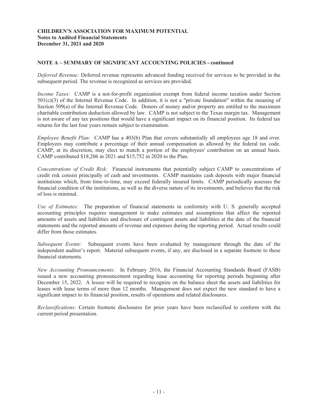#### **NOTE A – SUMMARY OF SIGNIFICANT ACCOUNTING POLICIES - continued**

*Deferred Revenue:* Deferred revenue represents advanced funding received for services to be provided in the subsequent period. The revenue is recognized as services are provided.

*Income Taxes:* CAMP is a not-for-profit organization exempt from federal income taxation under Section 501(c)(3) of the Internal Revenue Code. In addition, it is not a "private foundation" within the meaning of Section 509(a) of the Internal Revenue Code. Donors of money and/or property are entitled to the maximum charitable contribution deduction allowed by law. CAMP is not subject to the Texas margin tax. Management is not aware of any tax positions that would have a significant impact on its financial position. Its federal tax returns for the last four years remain subject to examination.

*Employee Benefit Plan:* CAMP has a 403(b) Plan that covers substantially all employees age 18 and over. Employees may contribute a percentage of their annual compensation as allowed by the federal tax code. CAMP, at its discretion, may elect to match a portion of the employees' contribution on an annual basis. CAMP contributed \$18,206 in 2021 and \$15,752 in 2020 to the Plan.

*Concentrations of Credit Risk:* Financial instruments that potentially subject CAMP to concentrations of credit risk consist principally of cash and investments. CAMP maintains cash deposits with major financial institutions which, from time-to-time, may exceed federally insured limits. CAMP periodically assesses the financial condition of the institutions, as well as the diverse nature of its investments, and believes that the risk of loss is minimal.

*Use of Estimates:* The preparation of financial statements in conformity with U. S. generally accepted accounting principles requires management to make estimates and assumptions that affect the reported amounts of assets and liabilities and disclosure of contingent assets and liabilities at the date of the financial statements and the reported amounts of revenue and expenses during the reporting period. Actual results could differ from those estimates.

*Subsequent Events:* Subsequent events have been evaluated by management through the date of the independent auditor's report. Material subsequent events, if any, are disclosed in a separate footnote to these financial statements.

*New Accounting Pronouncements:* In February 2016, the Financial Accounting Standards Board (FASB) issued a new accounting pronouncement regarding lease accounting for reporting periods beginning after December 15, 2022. A lessee will be required to recognize on the balance sheet the assets and liabilities for leases with lease terms of more than 12 months. Management does not expect the new standard to have a significant impact to its financial position, results of operations and related disclosures.

*Reclassifications:* Certain footnote disclosures for prior years have been reclassified to conform with the current period presentation.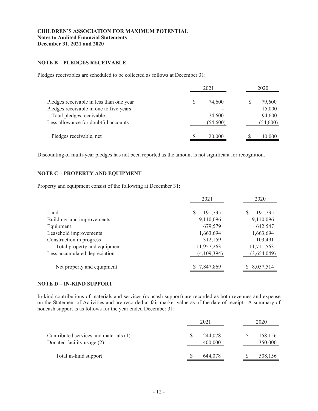## **NOTE B – PLEDGES RECEIVABLE**

Pledges receivables are scheduled to be collected as follows at December 31:

|                                          | 2021     | 2020     |
|------------------------------------------|----------|----------|
| Pledges receivable in less than one year | 74,600   | 79,600   |
| Pledges receivable in one to five years  |          | 15,000   |
| Total pledges receivable                 | 74,600   | 94,600   |
| Less allowance for doubtful accounts     | (54,600) | (54,600) |
| Pledges receivable, net                  | 20,000   | 40,000   |

Discounting of multi-year pledges has not been reported as the amount is not significant for recognition.

#### **NOTE C – PROPERTY AND EQUIPMENT**

Property and equipment consist of the following at December 31:

|                               | 2021          | 2020        |
|-------------------------------|---------------|-------------|
| Land                          | \$<br>191,735 | 191,735     |
| Buildings and improvements    | 9,110,096     | 9,110,096   |
| Equipment                     | 679,579       | 642,547     |
| Leasehold improvements        | 1,663,694     | 1,663,694   |
| Construction in progress      | 312,159       | 103,491     |
| Total property and equipment  | 11,957,263    | 11,711,563  |
| Less accumulated depreciation | (4,109,394)   | (3,654,049) |
| Net property and equipment    | \$ 7,847,869  | 8,057,514   |

#### **NOTE D – IN-KIND SUPPORT**

In-kind contributions of materials and services (noncash support) are recorded as both revenues and expense on the Statement of Activities and are recorded at fair market value as of the date of receipt. A summary of noncash support is as follows for the year ended December 31:

|                                                                      | 2021 |                    |   | 2020               |  |  |
|----------------------------------------------------------------------|------|--------------------|---|--------------------|--|--|
| Contributed services and materials (1)<br>Donated facility usage (2) | S    | 244,078<br>400,000 | S | 158,156<br>350,000 |  |  |
| Total in-kind support                                                |      | 644,078            |   | 508,156            |  |  |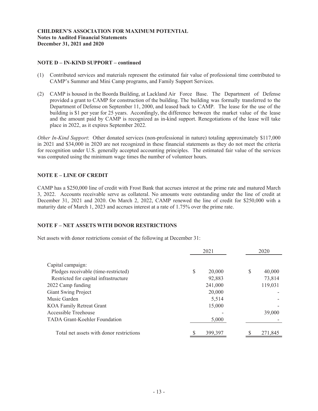#### **NOTE D – IN-KIND SUPPORT – continued**

- (1) Contributed services and materials represent the estimated fair value of professional time contributed to CAMP's Summer and Mini Camp programs, and Family Support Services.
- (2) CAMP is housed in the Boorda Building, at Lackland Air Force Base. The Department of Defense provided a grant to CAMP for construction of the building. The building was formally transferred to the Department of Defense on September 11, 2000, and leased back to CAMP. The lease for the use of the building is \$1 per year for 25 years. Accordingly, the difference between the market value of the lease and the amount paid by CAMP is recognized as in-kind support. Renegotiations of the lease will take place in 2022, as it expires September 2022.

*Other In-Kind Support*: Other donated services (non-professional in nature) totaling approximately \$117,000 in 2021 and \$34,000 in 2020 are not recognized in these financial statements as they do not meet the criteria for recognition under U.S. generally accepted accounting principles. The estimated fair value of the services was computed using the minimum wage times the number of volunteer hours.

#### **NOTE E – LINE OF CREDIT**

CAMP has a \$250,000 line of credit with Frost Bank that accrues interest at the prime rate and matured March 3, 2022. Accounts receivable serve as collateral. No amounts were outstanding under the line of credit at December 31, 2021 and 2020. On March 2, 2022, CAMP renewed the line of credit for \$250,000 with a maturity date of March 1, 2023 and accrues interest at a rate of 1.75% over the prime rate.

#### **NOTE F – NET ASSETS WITH DONOR RESTRICTIONS**

Net assets with donor restrictions consist of the following at December 31:

|                                          | 2021         | 2020        |
|------------------------------------------|--------------|-------------|
| Capital campaign:                        |              |             |
| Pledges receivable (time-restricted)     | \$<br>20,000 | S<br>40,000 |
| Restricted for capital infrastructure    | 92,883       | 73,814      |
| 2022 Camp funding                        | 241,000      | 119,031     |
| <b>Giant Swing Project</b>               | 20,000       |             |
| Music Garden                             | 5.514        |             |
| <b>KOA Family Retreat Grant</b>          | 15,000       |             |
| Accessible Treehouse                     |              | 39,000      |
| <b>TADA Grant-Koehler Foundation</b>     | 5,000        |             |
| Total net assets with donor restrictions | 399,397      | 271,845     |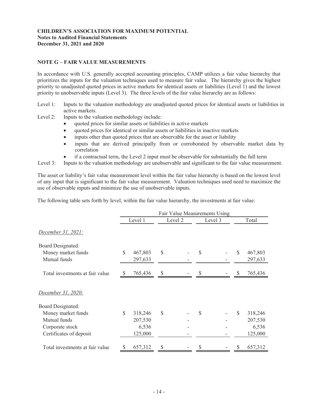#### **CHILDREN'S ASSOCIATION FOR MAXIMUM POTENTIAL Notes to Audited Financial Statements December 31, 2021 and 2020**

#### **NOTE G – FAIR VALUE MEASUREMENTS**

In accordance with U.S. generally accepted accounting principles, CAMP utilizes a fair value hierarchy that prioritizes the inputs for the valuation techniques used to measure fair value. The hierarchy gives the highest priority to unadjusted quoted prices in active markets for identical assets or liabilities (Level 1) and the lowest priority to unobservable inputs (Level 3). The three levels of the fair value hierarchy are as follows:

Level 1: Inputs to the valuation methodology are unadjusted quoted prices for identical assets or liabilities in active markets.

Level 2: Inputs to the valuation methodology include:

- quoted prices for similar assets or liabilities in active markets
- quoted prices for identical or similar assets or liabilities in inactive markets
- inputs other than quoted prices that are observable for the asset or liability
- inputs that are derived principally from or corroborated by observable market data by correlation
- if a contractual term, the Level 2 input must be observable for substantially the full term

Level 3: Inputs to the valuation methodology are unobservable and significant to the fair value measurement.

The asset or liability's fair value measurement level within the fair value hierarchy is based on the lowest level of any input that is significant to the fair value measurement. Valuation techniques used need to maximize the use of observable inputs and minimize the use of unobservable inputs.

The following table sets forth by level, within the fair value hierarchy, the investments at fair value:

|                                 | Fair Value Measurements Using |         |               |         |    |         |    |         |
|---------------------------------|-------------------------------|---------|---------------|---------|----|---------|----|---------|
|                                 |                               | Level 1 |               | Level 2 |    | Level 3 |    | Total   |
| December 31, 2021:              |                               |         |               |         |    |         |    |         |
| Board Designated:               |                               |         |               |         |    |         |    |         |
| Money market funds              | $\mathcal{S}$                 | 467,803 | $\mathcal{S}$ |         | \$ |         | \$ | 467,803 |
| Mutual funds                    |                               | 297,633 |               |         |    |         |    | 297,633 |
|                                 |                               |         |               |         |    |         |    |         |
| Total investments at fair value |                               | 765,436 | \$            |         |    |         |    | 765,436 |
| <u>December 31, 2020:</u>       |                               |         |               |         |    |         |    |         |
| <b>Board Designated:</b>        |                               |         |               |         |    |         |    |         |
| Money market funds              | \$                            | 318,246 | $\mathcal{S}$ |         | \$ |         | \$ | 318,246 |
| Mutual funds                    |                               | 207,530 |               |         |    |         |    | 207,530 |
| Corporate stock                 |                               | 6,536   |               |         |    |         |    | 6,536   |
| Certificates of deposit         |                               | 125,000 |               |         |    |         |    | 125,000 |
| Total investments at fair value |                               | 657,312 | \$            |         |    |         |    | 657,312 |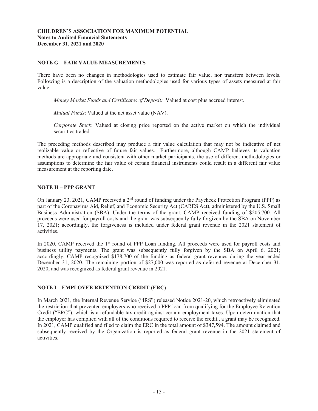#### **NOTE G – FAIR VALUE MEASUREMENTS**

There have been no changes in methodologies used to estimate fair value, nor transfers between levels. Following is a description of the valuation methodologies used for various types of assets measured at fair value:

*Money Market Funds and Certificates of Deposit:* Valued at cost plus accrued interest.

*Mutual Funds*: Valued at the net asset value (NAV).

*Corporate Stock*: Valued at closing price reported on the active market on which the individual securities traded.

The preceding methods described may produce a fair value calculation that may not be indicative of net realizable value or reflective of future fair values. Furthermore, although CAMP believes its valuation methods are appropriate and consistent with other market participants, the use of different methodologies or assumptions to determine the fair value of certain financial instruments could result in a different fair value measurement at the reporting date.

#### **NOTE H – PPP GRANT**

On January 23, 2021, CAMP received a 2nd round of funding under the Paycheck Protection Program (PPP) as part of the Coronavirus Aid, Relief, and Economic Security Act (CARES Act), administered by the U.S. Small Business Administration (SBA). Under the terms of the grant, CAMP received funding of \$205,700. All proceeds were used for payroll costs and the grant was subsequently fully forgiven by the SBA on November 17, 2021; accordingly, the forgiveness is included under federal grant revenue in the 2021 statement of activities.

In 2020, CAMP received the 1<sup>st</sup> round of PPP Loan funding. All proceeds were used for payroll costs and business utility payments. The grant was subsequently fully forgiven by the SBA on April 6, 2021; accordingly, CAMP recognized \$178,700 of the funding as federal grant revenues during the year ended December 31, 2020. The remaining portion of \$27,000 was reported as deferred revenue at December 31, 2020, and was recognized as federal grant revenue in 2021.

#### **NOTE I – EMPLOYEE RETENTION CREDIT (ERC)**

In March 2021, the Internal Revenue Service ("IRS") released Notice 2021-20, which retroactively eliminated the restriction that prevented employers who received a PPP loan from qualifying for the Employee Retention Credit ("ERC"), which is a refundable tax credit against certain employment taxes. Upon determination that the employer has complied with all of the conditions required to receive the credit., a grant may be recognized. In 2021, CAMP qualified and filed to claim the ERC in the total amount of \$347,594. The amount claimed and subsequently received by the Organization is reported as federal grant revenue in the 2021 statement of activities.